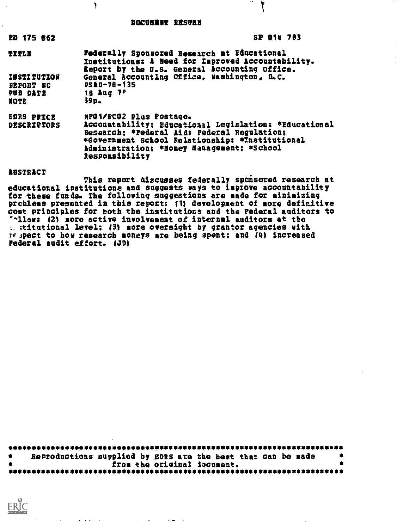#### DOCOMENT RESONE

٢

 $\mathbf{H}$ 

l.

| <b>20 175 862</b>                                          | SP 014 783                                                                                                                                                                                                                                         |
|------------------------------------------------------------|----------------------------------------------------------------------------------------------------------------------------------------------------------------------------------------------------------------------------------------------------|
| <b>TITLE</b>                                               | Federally Sponsored Research at Educational<br>Institutions: A Heed for Improved Accountability.<br>Report by the U.S. General Accounting Office.                                                                                                  |
| KOITUTITEEI<br><b>BEPORT NC</b><br><b>PUB DATE</b><br>NOTE | General Accounting Office, Washington, D.C.<br>$PSAD-78-135$<br>18 Aug 7P<br>$39p -$                                                                                                                                                               |
| <b>EDRS PRICE</b><br><b>DESCRIPTORS</b>                    | NPO1/PCO2 Plus Postage.<br>Accountability; Educational Legislation: *Educational<br>Research: *Federal Aid: Federal Regulation;<br>*Government School Relationship: *Institutional<br>Administration: *Honey Hanagement: *School<br>Responsibility |
| ABSTRACT                                                   |                                                                                                                                                                                                                                                    |

This report discusses federally spoisored research at educational institutions and suggests ways to improve accountability for these funds. The following suggestions are made for minimizing prchleas presented in this report: (1) development of more definitive cost principles for both the institutions and the Federal auditors to llows (2) more active involvement of internal auditors at the  $\therefore$  stitutional level; (3) more oversight by grantor agencies with  $ref$   $f$  ipect to how research moneys are being spent; and (4) increased Federal audit effort. (JD)

| Reproductions supplied by gDRS are the best that can be made |  |
|--------------------------------------------------------------|--|
| from the original iocument.                                  |  |
|                                                              |  |

ERIC

the second contract and the second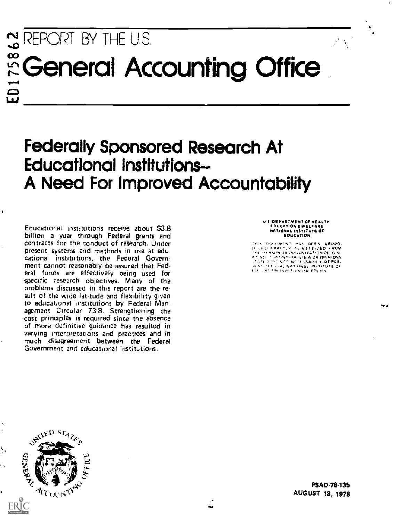# STREPORT BY THE U.S. ECGeneral Accounting Office

# Federally Sponsored Research At Educational Institutions-A Need For Improved Accountability

Educational institutions receive about \$3.8 billion a year through Federal grants and contracts for the conduct of research. Under present systems and methods in use at edu cational institutions, the Federal Government cannot reasonably be assured.that Federal funds are effectively being used for specific research objectives. Many of the problems discussed in this report are the re suit of the wide latitude and flexibility given to educational institutions by Federal Man- agement Circular 738. Strengthening the cost principles is required since the absence of more definitive guidance has resulted in varying interpretations and practices and in much disagreement between the Federal Government and educational institutions.

ti 'i Of PARTMENT OF HEALTH EOLICATION a WELFARE 14ATIONAL INSTITUTS OF **EDUCATION** 

¶

TH S. DULLIMENT - HAS - BEEN - REPRO-<br>D. LED EXACTLY - A. IRECEIVED - FROM<br>THE FEHINGN OR ORGANIZATION ORIGIN-A 1999 A 49 OR VALANS ALLON ORIGIN.<br>A 1966 - FRONTS OF VIEW OR OPINIONS<br>JATED DO NOT NECESSARIEV IRPPRE. .1 ,.' ,. + . .4%. 644%10kt:16 INCIITIITE 01 11, F. A. DN. POS. TON OR POLKY



 $\sqrt{2}$ 

PSAD-78.135 AUGUST 18, 1978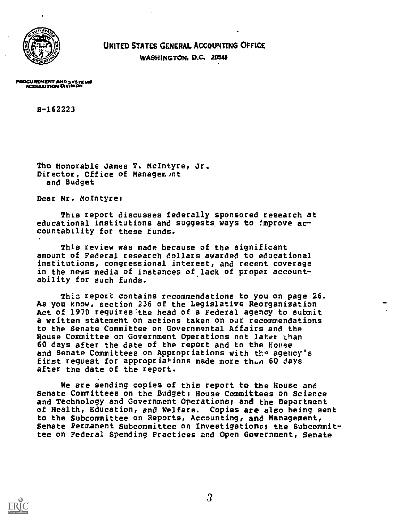

UNITED STATES GENERAL ACCOUNTING OFFICE

WASHINGTON, D.C. 20548

PROCUREMENT AND SYSTEME ACOUUNITION ORRMON

8-162223

The Honorable James T. McIntyre, Jr. Director, Office of Management and Budget

Dear Mr. McIntyre:

This report discusses federally sponsored research at educational institutions and suggests ways to improve accountability for these funds.

This review was made because of the significant amount of Federal research dollars awarded to educational institutions, congressional interest, and recent coverage in the news media of instances of lack of proper accountability for such funds.

This report contains recommendations to you on page 26. As you know, section 236 of the Legislative Reorganization Act of 1970 requires'the head of a Federal agency to submit a written statement on actions taken on our recommendations to the Senate Committee on Governmental Affairs and the House Committee on Government Operations not later than 60 days after the date of the report and to the House and Senate Committees on Appropriations with the agency's first request for appropriations made more thun 60 days after the date of the report.

We are sending copies of this report to the House and Senate Committees on the Budget; House Committees on Science and Technology and Government Operations; and the Department of Health, Education, and Welfare. Copies are also being sent to the Subcommittee on Reports, Accounting, and Management, Senate Permanent Subcommittee on Investigations; the Subcommittee on Federal Spending Practices and Open Government, Senate

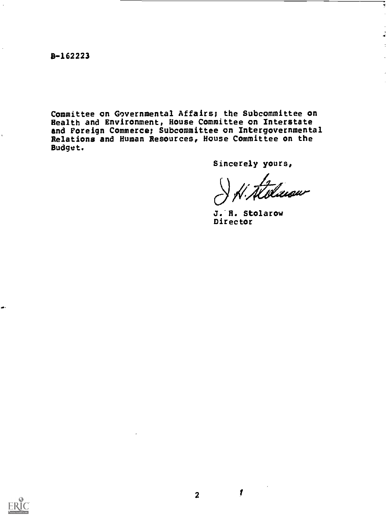8-162223

Committee on Governmental Affairs; the Subcommittee on Health and Environment, House Committee on Interstate and Foreign Commerce; Subcommittee on Intergovernmental Relations and Human Resources, House Committee on the Budget.

Sincerely yours,

tilasur

ÿ

ز<br>نم

J.-R. Stolarow Director



ø

 $\boldsymbol{I}$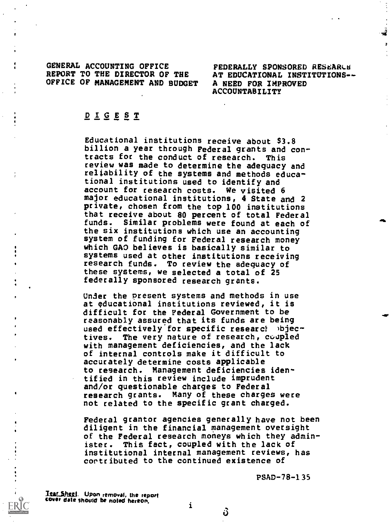GENERAL ACCOUNTING OFFICE FEDERALLY SPONSORED RESEARCH<br>REPORT TO THE DIRECTOR OF THE AT EDUCATIONAL INSTITUTIONS--REPORT TO THE DIRECTOR OF THE AT EDUCATIONAL INST<br>OFFICE OF MANAGEMENT AND BUDGET A NEED FOR IMPROVED OFFICE OF MANAGEMENT AND BUDGET

ACCOUNTABILITY

 $\mathbf{z}$ 

# DIGEST

Educational institutions receive about \$3.8 billion a year through Federal grants and contracts for the conduct of research. This review was made to determine the adequacy and reliability of the systems and methods educational institutions used to identify and account for research costs. We visited 6 major educational institutions, 4 State and 2 private, chosen from the top 100 institutions that receive about 80 percent of total Federal funds. Similar problems were found at each of the six institutions which use an accounting system of funding for Federal research money which GAO believes is basically similar to systems used at other institutions receiving research funds. To review the adequacy of these systems, we selected a total of 25 federally sponsored research grants.

Under the present systems and methods in use at educational institutions reviewed, it is difficult for the Federal Government to be reasonably assured that its funds are being used effectively for specific researct )bjectives. The very nature of research, coupled with management deficiencies, and the lack of internal controls make it difficult to accurately determine costs applicable to research. Management deficiencies identified in this review include imprudent and/or questionable charges to Federal research grants. Many of these charges were not related to the specific grant charged.

Federal grantor agencies generally have not been diligent in the financial management oversight of the Federal research moneys which they administer. This fact, coupled with the lack of institutional internal management reviews, has cortributed to the continued existence of

PSAD-78-135

T<u>ear Sheet</u>, Upon removal, the report<br><sup>Cover</sup> date should be noted hereon,

i

ΰ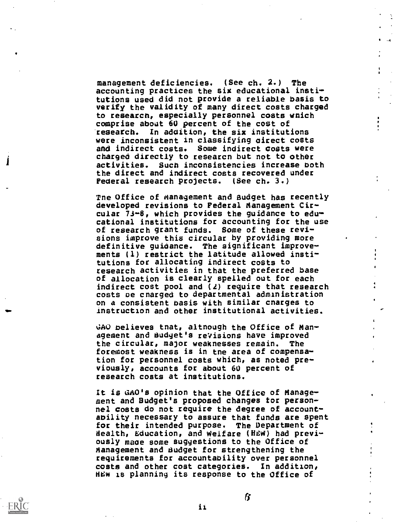management deficiencies. (See ch. 2.) The accounting practices the six educational institutions used did not provide a reliable basis to verify the validity of many direct costs charged to research, especially personnel costs which comprise about 60 percent of the cost of research. In addition, the six institutions were inconsistent in classifying oirect costs and indirect costs. Some indirect costs were charged directly to researcn but not to other activities. Such inconsistencies increase both the direct and indirect costs recovered under Federal research projects. (See ch. 3.)

Tne Office of Management and Budget has recently developed revisions to Federal Management Circular 73-6, which provides the guidance to educational institutions for accounting for the use of research grant funds. Some of these revisions improve this circular by providing more definitive guidance. The significant improvements (1) restrict the latitude allowed institutions for allocating indirect costs to research activities in that the preferred base of allocation is clearly spelled out for each indirect cost pool and  $(2)$  require that research costs oe cnarged to departmental administration on a consistent basis with similar cnarges to Instruction and other institutional activities.

4s

4

4

44 4

**c** contract the second second in the second second second in the second second second in the second second second second second second second second second second second second second second second second second second se

r

4

GAO believes tnat, altnough the Office of Management and Budget's revisions have improved the circular, major weaknesses remain. The foremost weakness is in tne area of compensation for personnel costs which, as noted previously, accounts for about 60 percent of research costs at institutions.

It is GAO's opinion that the Office of Management and Budget's proposed changes tor personnel costs do not require the degree of accountability necessary to assure that funds are spent for their intended purpose. The Department of Health, Lducation, and Welfare (HEW) had previously maoe some suggestions to the Office of Management and Budget for strengthening the requirements for accountability over personnel costs and other coat categories. In addition, HCw is planning its response to the Office of

is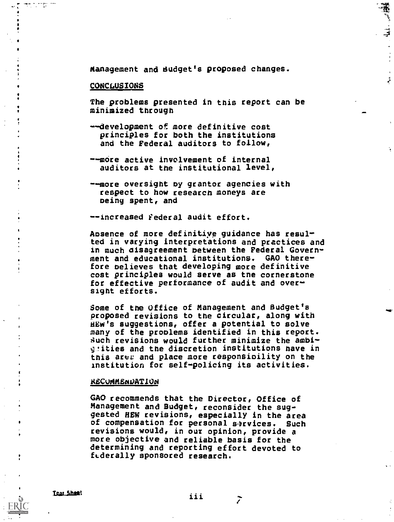<sup>4</sup> Management and dudget's proposed changes.

#### CONCLUSIONS

 $\bullet$   $\bullet$ 

The problems presented in this report can be minimized through

 $\mathcal{I}$ 

- --development of more definitive cost principles for both the institutions and the Federal auditors to follow,
- --more active involvement of internal auditors at the institutional level,
- --more oversight by grantor agencies with respect to how research moneys are ming spent, and

--increased Federal audit effort.

Aosence of more definitive guidance has resulted in varying interpretations and practices and in much disagreement between the Federal Govern- . ment and educational institutions. GAO there- . fore believes that developing more definitive cost principles would serve as tne cornerstone for effective performance of audit and oversight efforts.

Some of the Office of Management and Budget's proposed revisions to the circular, along with HEw's suggestions, offer a potential to solve many of the problems identified in this report. Such revisions would further minimize the ambi- +pities and the discretion institutions have in this aree and place more responsioility on the institution for self-policing its activities.

#### XECUMMENOATION

GAO recommends that the Director, Office of Management and Budget, reconsider the suggested HEW revisions, especially in the area of compensation for personal services. Such revisions would, in our opinion, provide a more objective and reliable basis for the determining and reporting effort devoted to fiderally sponsored research.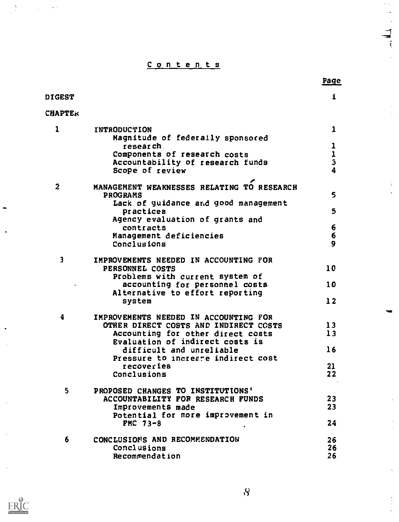Contents

 $\mathcal{A}$ 

 $\ddot{\varepsilon}$ 

 $\frac{1}{2}$  $\mathbf{r}$ 

 $\ddot{\phantom{1}}$ 

 $\begin{array}{c} 1 \\ 1 \\ 2 \end{array}$ 

|                         |                                               | Page           |
|-------------------------|-----------------------------------------------|----------------|
| <b>DIGEST</b>           |                                               | i              |
| <b>CHAPTER</b>          |                                               |                |
| 1                       | INTRODUCTION                                  | 1              |
|                         | Magnitude of federaily sponsored<br>research. | ı              |
|                         | Components of research costs                  |                |
|                         | Accountability of research funds              | $\frac{1}{3}$  |
|                         | Scope of review                               |                |
| 2                       | MANAGEMENT WEAKNESSES RELATING TO RESEARCH    |                |
|                         | <b>PROGRAMS</b>                               | 5              |
|                         | Lack of guidance and good management          |                |
|                         | practices                                     | 5              |
|                         | Agency evaluation of grants and<br>contracts  | 6              |
|                         | Management deficiencies                       | 6              |
|                         | Conclusions                                   | 9              |
|                         |                                               |                |
| $\overline{\mathbf{3}}$ | IMPROVEMENTS NEEDED IN ACCOUNTING FOR         |                |
|                         | PERSONNEL COSTS                               | 10             |
|                         | Problems with current system of               |                |
|                         | accounting for personnel costs                | 10             |
|                         | Alternative to effort reporting               |                |
|                         | system                                        | $\frac{12}{2}$ |
| 4                       | IMPROVEMENTS NEEDED IN ACCOUNTING FOR         |                |
|                         | OTHER DIRECT COSTS AND INDIRECT COSTS         | 13             |
|                         | Accounting for other direct costs             | 13             |
|                         | Evaluation of indirect costs is               |                |
|                         | difficult and unreliable                      | 16             |
|                         | Pressure to increate indirect cost            |                |
|                         | recoveries                                    | 21             |
|                         | Conclusions                                   | 22             |
| 5.                      | PROPOSED CHANGES TO INSTITUTIONS'             |                |
|                         | ACCOUNTABILITY FOR RESEARCH FUNDS             | 23             |
|                         | Improvements made                             | 23             |
|                         | Potential for more improvement in             |                |
|                         | FMC 73-8                                      | 24             |
|                         |                                               |                |
| 6                       | CONCLUSIONS AND RECOMMENDATION                | 26             |
|                         | Conclusions                                   | 26             |
|                         | Recommendation                                | 26             |

 $\sum_{\mathbf{A}_{\text{full factor product by EBC}}}$ 

 $\blacksquare$ 

 $\frac{1}{2} \frac{\sqrt{2}}{2}$ 

 $\mathcal{L}^{\text{max}}$ 

 $\hat{\mathcal{L}}$  .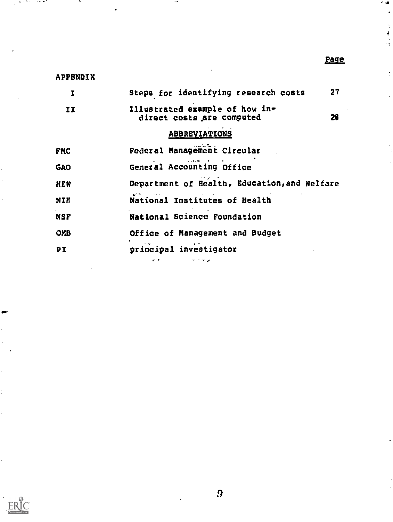# Page

 $\blacksquare$  $\ddot{\bullet}$ 

# APPENDIX

 $\ddot{\phantom{0}}$ 

 $ERIC$ 

r me a smae

| I          | Steps for identifying research costs                        | 27 |
|------------|-------------------------------------------------------------|----|
| II         | Illustrated example of how in-<br>direct costs are computed | 28 |
|            | <b>ABBREVIATIONS</b>                                        |    |
| <b>FMC</b> | Federal Management Circular                                 |    |
| <b>GAO</b> | General Accounting Office                                   |    |
| <b>HEW</b> | Department of Health, Education, and Welfare                |    |
| NIH        | National Institutes of Health                               |    |
| <b>NSF</b> | National Science Foundation                                 |    |
| <b>OMB</b> | Office of Management and Budget                             |    |
| PI         | principal investigator<br>e +                               |    |

 $\sim$  50  $\cdot$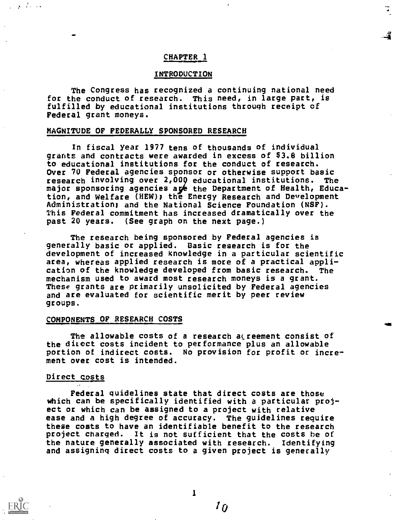# CHAPTER 1

# INTRODUCTION

The Congress has recognized a continuing national need for the conduct of research. This need, in large part, is fulfilled by educational institutions through receipt of Federal grant moneys.

# MAGNITUDE OF FEDERALLY SPONSORED RESEARCH

In fiscal year 1977 tens of thousands of individual grants and contracts were awarded in excess of \$3.8 billion to educational institutions for the conduct of research. Over 70 Federal agencies sponsor or otherwise support basic research involving over 2,000 educational institutions. The major sponsoring agencies are the Department of Health, Education, and Welfare (HEW); the Energy Research and Development Administration; and the National Science Foundation (NSF). This Federal commitment has increased dramatically over the past 20 years. (See graph on the next page.)

The research being sponsored by Federal agencies is generally basic or applied. Basic research is for the development of increased knowledge in a particular scientific area, whereas applied research is more of a practical application of the knowledge developed from basic research. The mechanism used to award most research moneys is a grant. These grants are primarily unsolicited by Federal agencies and are evaluated for scientific merit by peer review groups.

#### COMPONENTS OF RESEARCH COSTS

The allowable costs of a research acreement consist of the direct costs incident to performance plus an allowable portion of indirect costs. No provision for profit or increment over cost is intended.

# Direct costs

بالمنابذ والرابي

Federal guidelines state that direct costs are those which can be specifically identified with a particular project or which can be assigned to a project with relative ease and a high degree of accuracy. The guidelines require these costs to have an identifiable benefit to the research project charged. It is not sufficient that the costs be of the nature generally associated with research. Identifying and assigning direct costs to a given project is generally

1

 $I_{\hat{U}}$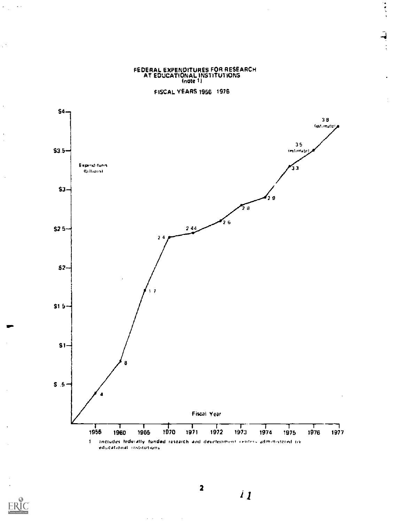FEDERAL EXPENDITURES FOR RESEARCH AT EDUCATIONAL INSTITUTIONS (note 1 )

医心理

FISCAL YEARS 1966 1976



 $\mathbf{v}$  .

 $\mathcal{L}$ 

 $\overline{a}$ 

 $\ddot{\phantom{a}}$ 

 $\overline{\phantom{a}}$ 

2

 $\mathcal{L}^{\text{max}}$  $\mathbb{R}^2$   $\boldsymbol{i}$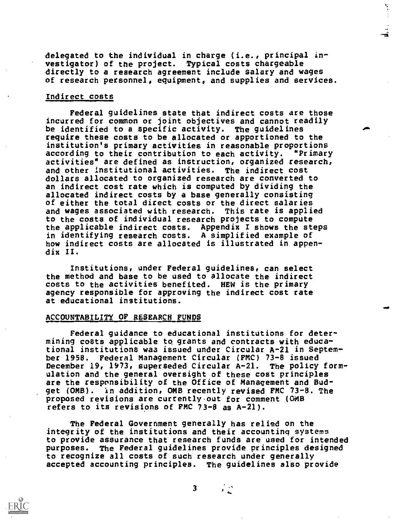delegated to the individual in charge (i.e., principal investigator) of the project. Typical costs chargeable directly to a research agreement include Salary and wages of research personnel, equipment, and supplies and services.

# Indirect\_costs

Federal guidelines state that indirect costs are those incurred for common or joint objectives and cannot readily be identified to a specific activity. The guidelines require these costs to be allocated or apportioned to the institution's primary activities in reasonable proportions according to their contribution to each activity. "Primary activities" are defined as instruction, organized research, and other institutional activities. The indirect cost dollars allocated to organized research are converted to an indirect cost rate which is computed by dividing the allocated indirect costs by a base generally consisting of either the total direct costs or the direct salaries and wages associated with research. This rate is applied to the costs of individual research projects to compute the applicable indirect costs. Appendix I shows the steps in identifying research costs. A simplified example of how indirect costs are allocated is illustrated in appendix II.

Institutions, under Federal guidelines, can select the method and base to be used to allocate the indirect costs to the activities benefited. HEW is the primary agency responsible for approving the indirect cost rate at educational institutions.

#### ACCOUNTABILITY OF RESEARCH FUNDS

Federal guidance to educational institutions for determining costs applicable to grants and contracts with educational institutions waa issued under Circular A-21 in September 1958. Federal Management Circular (FMC) 73-8 issued<br>December 19, 1973, superseded Circular A-21. The policy form-December 19, 1973, superseded Circular A-21. ulation and the general oversight of these cost principles are the responsibility of the Office of Management and Budget (OMB). in addition, OMB recently revised FMC 73-8. The proposed revisions are currently.out for comment (OMB refers to its revisions of FMC 73-8 as A-21).

The Federal Government generally has relied on the integrity of the institutions and their accounting systems to provide assurance that research funds are used for intended purposes. The Federal guidelines provide principles designed to recognize all costs of such research under generally accepted accounting principles. The guidelines also provide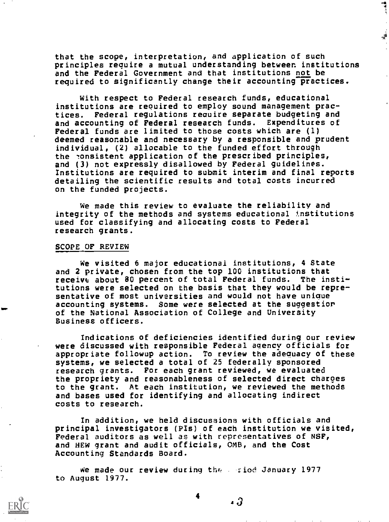that the scope, interpretation, and application of such principles require a mutual understanding between institutions and the Federal Government and that institutions not be required to significantly change their accounting practices.

 $\frac{4}{1}$ 

With respect to Federal research funds, educational institutions are required to employ sound management practices. Federal regulations require separate budgeting and<br>and accounting of Federal research funds. Expenditures of and accounting of Federal research funds. Federal funds are limited to those costs which are (I) deemed reasonable and necessary by a responsible and prudent individual, (2) allocable to the funded effort through the consistent application of the prescribed principles, and (3) not expressly disallowed by Federal guidelines. Institutions are required to submit interim and final reports detailing the scientific results and total costs incurred on the funded projects.

We made this review to evaluate the reliability and integrity of the methods and systems educational institutions used for classifying and allocating costs to Federal research grants.

#### SCOPE OF REVIEW

We visited 6 major educational institutions, 4 State and 2 private, chosen from the top 100 institutions that receive about 80 percent of total Federal funds. The institutions were selected on the basis that they would be representative of most universities and would not have unique accounting systems. Some were selected at the suggestior of the National Association of College and University Business officers.

Indications of deficiencies identified during our review were discussed with responsible Federal agency officials for appropriate followup action. To review the adequacy of these systems, we selected a total of 25 federally sponsored research grants. For each grant reviewed, we evaluated the propriety and reasonableness of selected direct charges to the grant. At each institution, we reviewed the methods and bases used for identifying and allocating indirect costs to research.

In addition, we held discussions with officials and principal investigators (PIs) of each institution we visited, Federal auditors as well as with representatives of NSF, and HEW grant and audit officials, OMB, and the Cost Accounting Standards Board.

We made our review during the  $\sim$  riod January 1977 to August 1977.

4

<sup>a</sup> a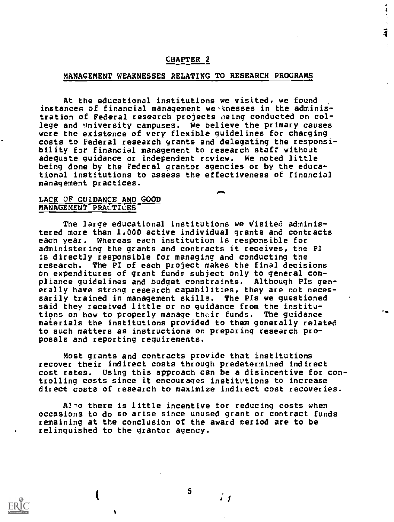# CHAPTER 2

# MANAGEMENT WEAKNESSES RELATING TO RESEARCH PROGRAMS

At the educational institutions we visited, we found instances of financial management we knesses in the administration of Federal research projects oeing conducted on college and university campuses. We believe the primary causes were the existence of very flexible guidelines for charging costs to Federal research grants and delegating the responsibility for financial management to research staff without adequate guidance or independent review. We noted little being done by the Federal grantor agencies or by the educational institutions to assess the effectiveness of financial management practices.

 $\blacksquare$ 

医皮质

 $\overrightarrow{4}$ 

 $\pm$ 

# LACK OF GUIDANCE AND GOOD MANAGEMENT PRACTICES

The large educational institutions we visited administered more than 1,000 active individual grants and contracts each year. Whereas each institution is responsible for administering the grants and contracts it receives, the PI is directly responsible for managing and conducting the research. The PI of each project makes the final decisions on expenditures of grant funds subject only to general compliance guidelines and budget constraints. Although PIs generally have strong research capabilities, they are not necessarily trained in management skills. The PIs we questioned said they received little or no guidance from the institutions on how to properly manage their funds. The guidance materials the institutions provided to them generally related to such matters as instructions on preparing research proposals and reporting requirements.

Most grants and contracts provide that institutions recover their indirect costs through predetermined indirect cost rates. Using this approach can be a disincentive for controlling costs since it encourages institvtions to increase direct costs of research to maximize indirect cost recoveries.

Al-o there is little incentive for reducing costs when occasions to do so arise since unused grant or contract funds remaining at the conclusion of the award period are to be relinquished to the grantor agency.



S

. 1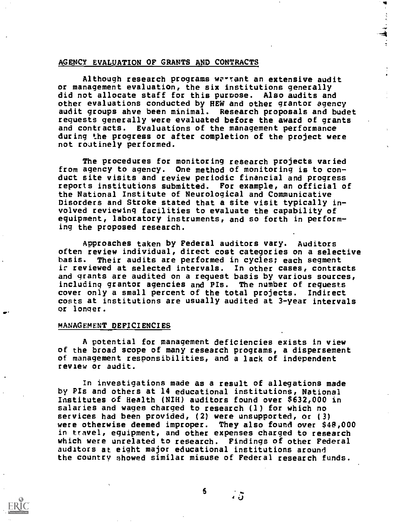# AGENCY EVALUATION OF GRANTS AND CONTRACTS

Although research programs warrant an extensive audit or management evaluation, the six institutions generally did not allocate staff for this purpose. Also audits and other evaluations conducted by HEW and other grantor agency audit groups ahve been minimal. Research proposals and budet requests generally were evaluated before the award of grants and contracts. Evaluations of the management performance during the progress or after completion of the project were not routinely performed.

The procedures for monitoring research projects varied from agency to agency. One method of monitoring is to conduct site visits and review periodic financial and progress reports institutions submitted. For example, an official of the National Institute of Neurological and Communicative Disorders and Stroke stated that a site visit typically involved reviewing facilities to evaluate the capability of equipment, laboratory instruments, and so forth in performing the proposed research.

Approaches taken by Federal auditors vary. Auditors often review individual, direct cost categories on a selective basis. Their audits are performed in cycles; each segment ir reviewed at selected intervals. In other cases, contracts and grants are audited on a request basis by various sources, including grantor agencies and PIs. The number of requests cover only a small percent of the total projects. Indirect costs at institutions are usually audited at 3-year intervals or longer.

#### MANAGEMENT DEFICIENCIES

A potential for management deficiencies exists in view of the broad scope of many research programs, a dispersement of management responsibilities, and a lack of independent review or audit.

In investigations made as a result of allegations made by PIs and others at 14 educational institutions, National Institutes of Health (NIH) auditors found over \$632,000 in salaries and wages charged to research (1) for which no services had been provided, (2) were unsupported, or (3) were otherwise deemed improper. They also found over \$48,000 in travel, equipment, and other expenses charged to research which were unrelated to research. Findings of other Federal auditors at eight major educational institutions around the country showed similar misuse of Federal research funds.

6

រ ភិ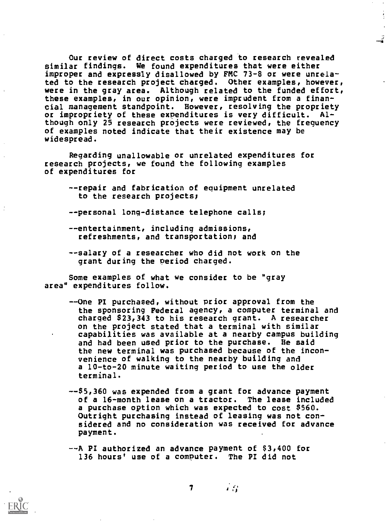Our review of direct costs charged to research revealed similar findings. We found expenditures that were either improper and expressly disallowed by FMC 73-8 or were unrelated to the research project charged. Other examples, however, were in the gray area. Although related to the funded effort, these examples, in our opinion, were imprudent from a financial management standpoint. However, resolving the propriety or impropriety of these expenditures is very difficult. Although only 25 research projects were reviewed, the frequency of examples noted indicate that their existence may be widespread.

Regarding unallowable or unrelated expenditures for research projects, we found the following examples of expenditures for

--repair and fabrication of equipment unrelated to the research projects;

--personal long-distance telephone calls;

- --entertainment, including admissions, refreshments, and transportation; and
- --salary of a researcher who did not work on the grant during the period charged.

Some examples of what we consider to be "gray area" expenditures follow.

- --One PI purchased, without prior approval from the the sponsoring Federal agency, a computer terminal and charged \$23,343 to his research grant. A researcher on the project stated that a terminal with similar capabilities was available at a nearby campus building and had been uSed prior to the purchase. He said the new terminal was purchased because of the inconvenience of walking to the nearby building and a l0-to-20 minute waiting period to use the older terminal.
- -45,360 was expended from a grant for advance payment of a 16-month lease on a tractor. The lease included a purchase option which was expected to cost \$560. Outright purchasing instead of leasing was not considered and no consideration was received for advance payment.
- --A PI authorized an advance payment of \$3,400 for 136 hours' use of a computer. The PI did not

7

e;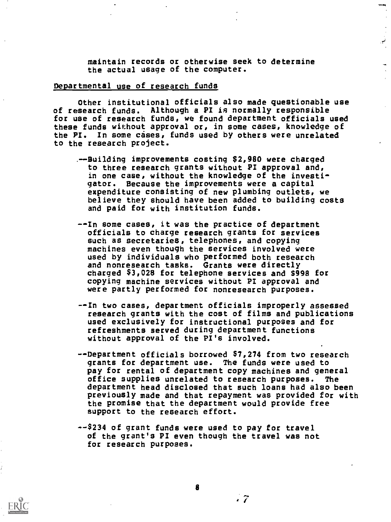Maintain records or otherwise seek to determine the actual usage of the computer.

# Departmental use of research funds

Other institutional officials also made questionable use of research funds. Although a PI is normally responsible for use of research funds, we found department officials used these funds without approval or, in some cases, knowledge of the PI. In some cases, funds used by others were unrelated to the research project.

- .--Building improvements costing \$2,980 were charged to three research grants without PI approval and, in one case, without the knowledge of the investigator. Because the improvements were a capital expenditure consisting of new plumbing outlets, we believe they should have been added to building costs and paid for with institution funds.
- --In some cases, it was the practice of department officials to charge research grants for services such as secretaries, telephones, and copying machines even though the services involved were used by individuals who performed both research and nonresearch tasks. Grants were directly charged \$3,028 for telephone services and 8998 for copying machine services without PI approval and were partly performed for nonresearch purposes.
- --In two cases, department officials improperly assessed research grants with the cost of films and publications used exclusively for instructional purposes and for refreshments served during department functions without approval of the PI's involved.
- --Department officials borrowed \$7,274 from two research grants for department use. The funds were used to pay for rental of department copy machines and general<br>office supplies unrelated to research purposes. The office supplies unrelated to research purposes. department head disclosed that such loans had also been previously made and that repayment was provided for with the promise that the department would provide free support to the research effort.
- --\$234 of grant funds were used to pay for travel of the grant's PI even though the travel was not for research purposes.



 $\cdot$  7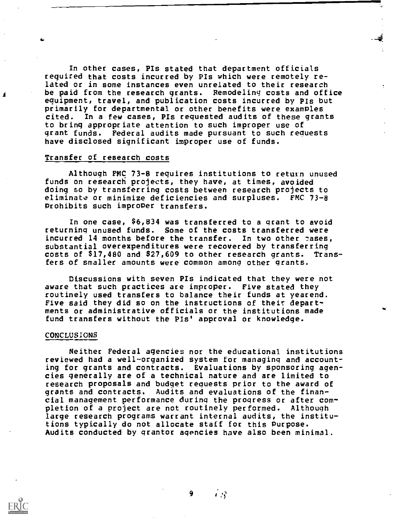In other cases, Pis stated that department officials required that costs incurred by Pis which were remotely related or in some instances even unrelated to their research be paid from the research grants. Remodeling costs and office equipment, travel, and publication costs incurred by PIs but primarily for departmental or other benefits were examPles cited. In a few cases, PIs requested audits of these grants to bring appropriate attention to such improper use of grant funds. Federal audits made pursuant to such requests have disclosed significant improper use of funds.

# Transfer of research costs

Although FMC 73-8 requires institutions to return unused funds on research projects, they have, at times, avoided doing so by transferring costs between research projects to eliminate or minimize deficiencies and surpluses. FMC 73-8 Prohibits such improper transfers.

In one case, \$6,834 was transferred to a grant to avoid returning unused funds. Some of the costs transferred were incurred 14 months before the transfer. In two other pases, substantial overexpenditures were recovered by transferring costs of \$17,480 and \$27,609 to other research grants. Transfers of smaller amounts were common among other grants.

Discussions with seven Pis indicated that they were not aware that such practices are improper. Five stated they routinely used transfers to balance their funds at yearend. Five said they did so on the instructions of their departments or administrative officials or the institutions made fund transfers without the PIs' approval or knowledge.

INC

#### CONCLUSIONS

Neither Federal agencies nor the educational institutions reviewed had a well-organized system for managing and accounting for grants and contracts. Evaluations by sponsoring agencies generally are of a technical nature and are limited to research proposals and budget requests prior to the award of grants and contracts. Audits and evaluations of the financial management performance during the progress or after completion of a project are not routinely performed. Although large research programs warrant internal audits, the institutions typically do not allocate staff for this Purpose. Audits conducted by grantor agencies have also been minimal.



 $+$   $S$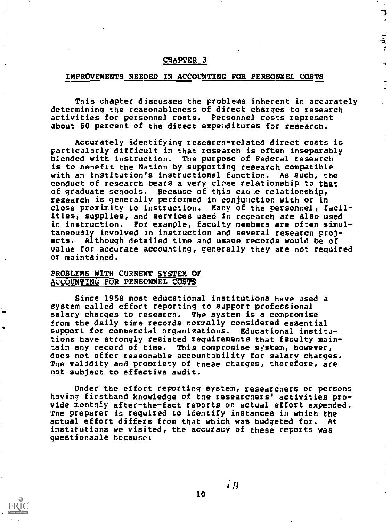# CHAPTER<sub>3</sub>

#### IMPROVEMENTS NEEDED IN ACCOUNTING FOR PERSONNEL COSTS

This chapter discusses the problems inherent in accurately determining the reasonableness of direct charges to research activities for personnel costs. Personnel costs represent about 60 percent of the direct expenditures for research.

د: اورا او

1. (44) 年4月

 $\mathbb{R}$ 

Accurately identifying research-related direct costs is particularly difficult in that research is often inseparably blended with instruction. The purpose of Federal research is to benefit the Nation by supporting research compatible with an institution's instructional function. As such, the conduct of research bears a very close relationship to that of graduate schools. Because of this ciose relationship, research is generally performed in conjunction with or in close proximity to instruction. Many of the personnel, facilities, supplies, and services used in research are also used in instruction. For example, faculty members are often simultaneously involved in instruction and several research projects. Although detailed time and usage records would be of value for accurate accounting, generally they are not required or maintained.

# PROBLEMS WITH CURRENT SYSTEM OF ACCOUNTING FOR PERSONNEL COSTS

Since 1958 most educational institutions have used a system called effort reporting to support professional salary charges to research. The system is a compromise from the daily time records normally considered essential support for commercial organizations. Educational institutions have strongly resisted requirements that faculty maintain any record of time. This compromise system, however, does not offer reasonable accountability for salary charges. The validity and propriety of these charges, therefore, are not subject to effective audit.

Under the effort reporting system, researchers or persons having firsthand knowledge of the researchers' activities provide monthly after-the-fact reports on actual effort expended. The preparer is required to identify instances in which the actual effort differs from that which was budgeted for. At institutions we visited, the accuracy of these reports was questionable because:

 $\angle{9}$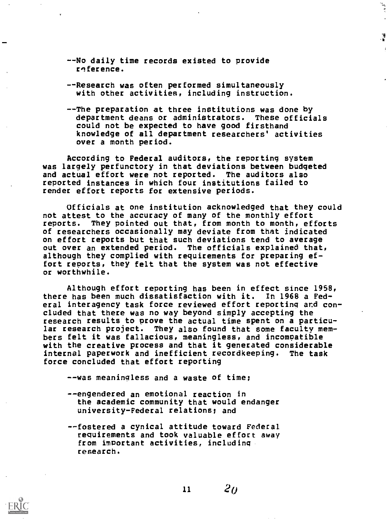- --No daily time records existed to provide reference.
- --Research was often performed simultaneously with other activities, including instruction.
- --The preparation at three institutions was done by department deans or administrators. These officials could not be expected to have good firsthand knowledge of all department researchers' activities over a month period.

 $\mathbf{F}^{(n)}$ 

्डे<br>प  $\frac{4}{3}$ 

According to Federal auditors, the reporting system was largely perfunctory in that deviations between budgeted and actual effort were not reported. The auditors also reported instances in which four institutions failed to render effort reports for extensive periods.

Officials at one institution acknowledged that they could not attest to the accuracy of many of the monthly effort reports. They pointed out that, from month to month, efforts of researchers occasionally may deviate from that indicated on effort reports but that such deviations tend to average out over an extended period. The officials explained that, although they complied with requirements for preparing effort reports, they felt that the system was not effective or worthwhile.

Although effort reporting has been in effect since 1958, there has been much dissatisfaction with it. In 1968 a Federal interagency task force reviewed effort reporting and concluded that there was no way beyond simply accepting the research results to prove the actual time spent on a particular research project. They also found that some faculty members felt it was fallacious, meaningless, and incompatible with the creative process and that it generated considerable internal paperwork and inefficient recordkeeping. The task force concluded that effort reporting

--was meaningless and a waste of time;

- --engendered an emotional reaction in the academic community that would endanger university-Federal relations; and
- --fostered a cynical attitude toward Federal requirements and took valuable effort away from important activities, including research.

 $11$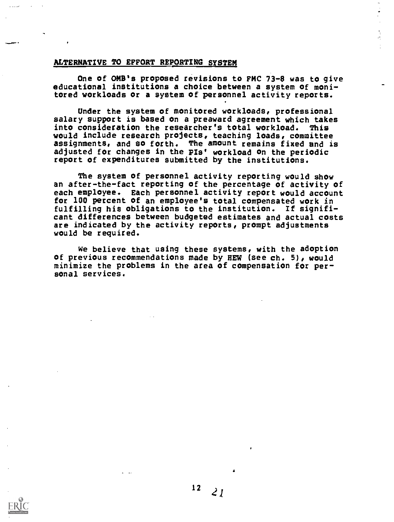# ALTERNATIVE TO EFFORT REPORTING SYSTEM

One of OMB's proposed revisions to FRC 73-8 was to give educational institutions a choice between a system of monitored workloads or a system of personnel activity reports.

Under the system of monitored workloads, professional salary support is based on a preaward agreement which takes into consideration the researcher's total workload. This would include research projects, teaching loads, committee assignments, and so forth. The amount remains fixed and is adjusted for changes in the PIs' workload on the periodic report of expenditures submitted by the institutions.

The system of personnel activity reporting would show an after-the-fact reporting of the percentage of activity of each employee. Each personnel activity report would account for 100 percent of an employee's total compensated work in fulfilling his obligations to the institution. If significant differences between budgeted estimates and actual costs are indicated by the activity reports, prompt adjustments would be required.

We believe that using these systems, with the adoption of previous recommendations made by HEW (see ch. 5), would minimize the problems in the area of compensation for personal services.

 $12<sub>2</sub>$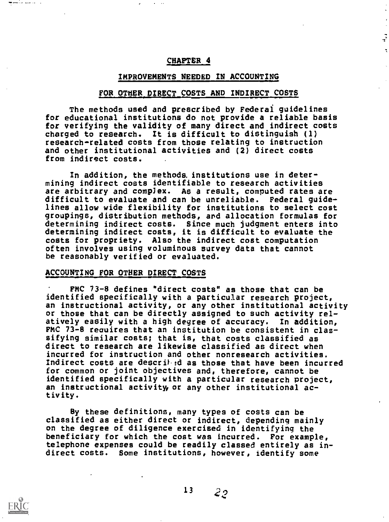# CHAPTER 4

# IMPROVEMENTS NEEDED IN ACCOUNTING

# FOR OTHER DIRECT COSTS AND INDIRECT COSTS

The methods used and prescribed by Federal guidelines for educational institutions do not provide a reliable basis for verifying the validity of many direct and indirect costs charged to research. It is difficult to distinguish (1) research-related costs from those relating to instruction and other institutional activities and (2) direct costs from indirect costs.

In addition, the methods institutions use in determining indirect costs identifiable to research activities are arbitrary and compJex. As a result, computed rates are difficult to evaluate and can be unreliable. Federal guidelines allow wide flexibility for institutions to select cost groupings, distribution methods, ard allocation formulas for determining indirect costs. Since much judgment enters into determining indirect costs, it is difficult to evaluate the costs for propriety. Also the indirect cost computation often involves using voluminous survey data that cannot be reasonably verified or evaluated.

#### ACCOUNTING FOR OTHER DIRECT COSTS

FMC 73-8 defines "direct costs" as those that can be identified specifically with a particular research project, an instructional activity, or any other institutional activity or those that can be directly assigned to such activity relatively easily with a high degree of accuracy. In addition, FMC 73-8 reauires that an institution be consistent in classifying similar costs; that is, that costs classified as direct to research are likewise classified as direct when incurred for instruction and other nonresearch activities. Indirect costs are described as those that have been incurred for common or joint objectives and, therefore, cannot be identified specifically with a particular research project, an instructional activity or any other institutional activity.

By these definitions, many types of costs can be classified as either direct or indirect, depending mainly on the degree of diligence exercised in identifying the beneficiary for which the cost was incurred. For example, telephone expenses could be readily classed entirely as indirect costs. Some institutions, however, identify some



والمتعلم فكعصف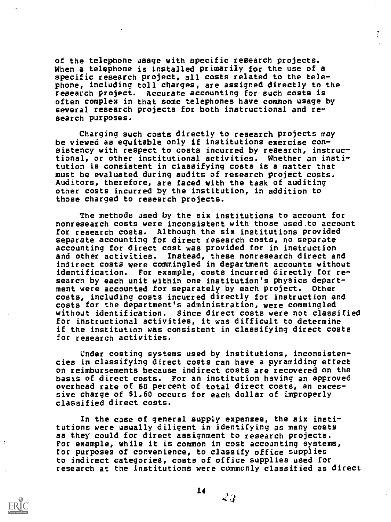of the telephone usage with specific research projects. When a telephone is installed primarily for the use of a specific research project, all costs related to the telephone, including toll charges, are assigned directly to the research project. Accurate accounting for such costs is often complex in that some telephones have common usage by several research projects for both instructional and research purposes.

Charging such costs directly to research projects may be viewed as equitable only if institutions exercise consistency with respect to costs incurred by research, instructional, or other institutional activities. Whether an institution is consistent in classifying costs is a matter that must be evaluated during audits of research project costs. Auditors, therefore, are faced with the task of auditing other costs incurred by the institution, in addition to those charged to research projects.

The methods used by the six institutions to account for nonresearch costs were inconsistent with those used.to account for research costs. Although the six institutions provided separate accounting for direct research costs, no separate accounting for direct cost was provided for in instruction and other activities. Instead, these nonresearch direct and indirect costs were commingled in department accounts without identification. For example, costs incurred directly for research by each unit within one institution's physics department were accounted for separately by each project. Other costs, including costs incurred directly for instruction and costs for the department's administration, were commingled without identification. Since direct costs were not classified for instructional activities, it was difficult to determine if the institution was consistent in classifying direct costs for research activities.

Under costing systems used by institutions, inconsistencies in classifying direct costs can have a pyramiding effect on reimbursements because indirect costs are recovered on the basis of direct costs. For an institution having an approved overhead rate of 60 percent of total direct costs, an excessive charge of \$1.60 occurs for each dollar of improperly classified direct costs.

In the case of general supply expenses, the six institutions were usually diligent in identifying as many costs as they could for direct assignment to research projects. For example, while it is common in cost accounting systems, for purposes of convenience, to classify office supplies to indirect categories, costs of office supplies used for research at the institutions were commonly classified as direct

14

 $\mathcal{L}$ .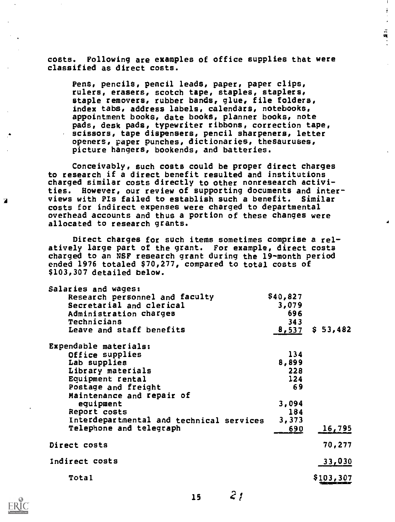costs. Following are examples of office supplies that were classified as direct costs.

÷

17. 其中

Pens, pencils, pencil leads, paper, paper clips, rulers, erasers, scotch tape, staples, staplers, staple removers, rubber bands, glue, file folders, index tabs, address labels, calendars, notebooks, appointment books, date books, planner books, note pads, desk pads, typewriter ribbons, correction tape, scissors, tape dispensers, pencil sharpeners, letter openers, paper punches, dictionaries, thesauruses, picture hangers, bookends, and batteries.

Conceivably, such costs could be proper direct charges to research if a direct benefit resulted and institutions charged similar costs directly to other nonresearch activities. However, our review of supporting documents and interviews with Pis failed to establish such a benefit. Similar costs for indirect expenses were charged to departmental overhead accounts and thus a portion of these changes were allocated to research grants.

Direct charges for such items sometimes comprise a relatively large part of the grant. For example, direct costs charged to an NSF research grant during the 19-month period ended 1976 totaled \$70,277, compared to total costs of \$103,307 detailed below.

| Salaries and wages:                      |          |          |  |
|------------------------------------------|----------|----------|--|
| Research personnel and faculty           | \$40,827 |          |  |
| Secretarial and clerical                 | 3,079    |          |  |
| Administration charges                   | 696      |          |  |
| Technicians                              | 343      |          |  |
| Leave and staff benefits                 | 8,537    | \$53,482 |  |
| Expendable materials:                    |          |          |  |
| Office supplies                          | 134      |          |  |
| Lab supplies                             | 8,899    |          |  |
| Library materials                        | 228      |          |  |
| Equipment rental                         | 124      |          |  |
| Postage and freight                      | 69       |          |  |
| Maintenance and repair of                |          |          |  |
| equipment                                | 3,094    |          |  |
| Report costs                             | 184      |          |  |
| Interdepartmental and technical services | 3,373    |          |  |
| Telephone and telegraph                  | 690      | 16,795   |  |
| Direct costs                             |          | 70,277   |  |
| Indirect costs                           |          | 33,030   |  |
| Total                                    |          | 5103.307 |  |
|                                          |          |          |  |



7

 $\hat{z}_i$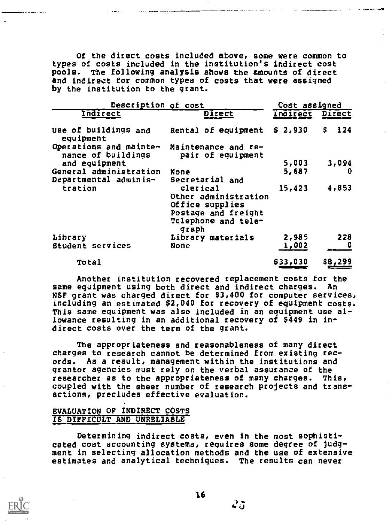Of the direct costs included above, some were common to types of costs included in the institution's indirect cost pools. The following analysis shows the amounts of direct and indirect for common types of costs that were assigned by the institution to the grant.

| Description of cost                          |                                                                                                            | Cost assigned   |           |  |
|----------------------------------------------|------------------------------------------------------------------------------------------------------------|-----------------|-----------|--|
| Indirect                                     | Direct                                                                                                     | Indirect Direct |           |  |
| Use of buildings and<br>equipment            | Rental of equipment \$ 2,930                                                                               |                 | Ş.<br>124 |  |
| Operations and mainte-<br>nance of buildings | Maintenance and re-<br>pair of equipment                                                                   |                 |           |  |
| and equipment                                |                                                                                                            | 5,003           | 3,094     |  |
| General administration                       | None                                                                                                       | 5,687           | U         |  |
| Departmental adminis-                        | Secretarial and                                                                                            |                 |           |  |
| tration                                      | clerical<br>Other administration<br>Office supplies<br>Postage and freight<br>Telephone and tele-<br>graph | 15,423          | 4,853     |  |
| Library                                      | Library materials                                                                                          | 2,985           | 228       |  |
| Student services                             | None                                                                                                       | 1,002           |           |  |
| Total                                        |                                                                                                            | \$33,030        | \$8,299   |  |

Another institution recovered replacement costs for the same equipment using both direct and indirect charges. An NSF grant was charged direct for \$3,400 for computer services, including an estimated \$2,040 for recovery of equipment costs. This same equipment was also included in an equipment use allowance resulting in an additional recovery of \$449 in indirect costs over the term of the grant.

The appropriateness and reasonableness of many direct charges to research cannot be determined from existing records. As a result, management within the institutions and grantor agencies must rely on the verbal assurance of the researcher as to the appropriateness of many charges. This, coupled with the sheer number of research projects and transactions, precludes effective evaluation.

# EVALUATION OF INDIRECT COSTS IS DIFFICULT AND UNRELIABLE

Determining indirect costs, even in the most sophisticated cost accounting systems, requires some degree of judgment in selecting allocation methods and the use of extensive estimates and analytical techniques. The results can never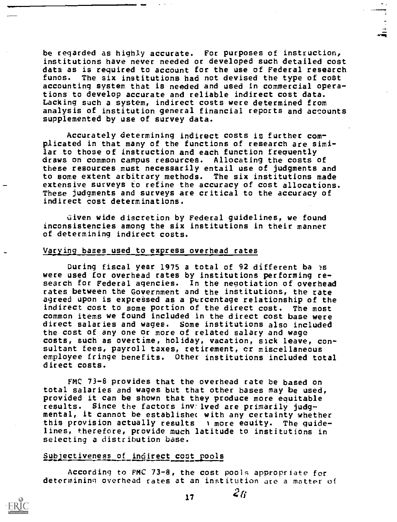be regarded as highly accurate. For purposes of instruction, institutions have never needed or developed such detailed cost data as is required to account for the use of Federal research funds. The six institutions had not devised the type of cost accounting system that is needed and used in commercial operations to develop accurate and reliable indirect cost data. Lacking such a system, indirect costs were determined from analysis of institution general financial reports and accounts supplemented by use of survey data.

Accurately determining indirect costs is further complicated in that many of the functions of research are similar to those of instruction and each function frequently draws on common campus resources. Allocating the costs of these resources must necessarily entail use of judgments and to some extent arbitrary methods. The six institutions made extensive surveys to refine the accuracy of cost allocations. These judgments and surveys are critical to the accuracy of indirect cost determinations.

Given wide discretion by Federal guidelines, we found inconsistencies among the six institutions in their manner of determining indirect costs.

#### Varying bases used to express overhead rates

During fiscal year 1975 a total of 92 different bases were used for overhead rates by institutions performing research for Federal agencies. In the negotiation of overhead rates between the Government and the institutions, the rate agreed upon is expressed as a percentage relationship of the indirect cost to some portion of the direct cost. The most common items we found included in the direct cost base were direct salaries and wages. Some institutions also included the cost of any one or more of related salary and wage costs, such as overtime, holiday, vacation, sack leave, consultant fees, payroll taxes, retirement, cr miscellaneous employee fringe benefits. Other institutions included total direct costs.

FMC 73-8 provides that the overhead rate be based on total salaries and wages but that other bases may be used, provided it can be shown that they produce more equitable results. Since the factors inv:lved are primarily judgmental, it cannot be establishec with any certainty whether this provision actually results  $\cdots$  more equity. The guidelines, therefore, provide much latitude to institutions in selecting a distribution base.

#### Subjectiveness of indirect cost pools

According to FMC 73-8, the cost pools appropriate for determining overhead rates at an institution are a matter of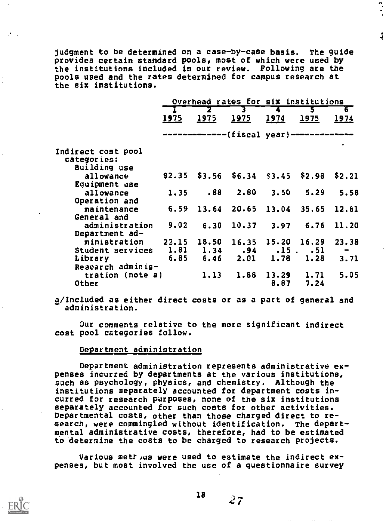judgment to be determined on a case-by-case basis. The guide provides certain standard pools, most of which were used by the institutions included in our review. Following are the pools used and the rates determined for campus research at the six institutions.

医皮皮炎

 $\ddot{\bullet}$ 

|                    | Overhead rates for six institutions<br>Ъ |                 |                                           |                   |      |        |  |
|--------------------|------------------------------------------|-----------------|-------------------------------------------|-------------------|------|--------|--|
|                    | 3.<br>2                                  |                 |                                           |                   |      |        |  |
|                    | 1975                                     | 1975            | 1975                                      | <u> 1974 </u>     | 1975 | 1974   |  |
|                    |                                          |                 | --------------(fiscal year)-------------- |                   |      |        |  |
| Indirect cost pool |                                          |                 |                                           |                   |      | ٠      |  |
| categories:        |                                          |                 |                                           |                   |      |        |  |
| Building use       |                                          |                 |                                           |                   |      |        |  |
| allowance          |                                          |                 | $$2.35$ $$3.56$ $$6.34$ $$3.45$ $$2.98$   |                   |      | \$2.21 |  |
| Equipment use      |                                          |                 |                                           |                   |      |        |  |
| allowance          | 1.35                                     | .88             | 2.80                                      | 3.50              | 5.29 | 5.58   |  |
| Operation and      |                                          |                 |                                           |                   |      |        |  |
| maintenance        | 6.59                                     |                 | 13.64 20.65 13.04 35.65 12.81             |                   |      |        |  |
| General and        |                                          |                 |                                           |                   |      |        |  |
| administration     | 9.02                                     | 6.30            | 10.37                                     | 3.97              | 6.76 | 11.20  |  |
| Department ad-     |                                          |                 |                                           |                   |      |        |  |
| ministration       |                                          | $22.15$ $18.50$ |                                           | 16.35 15.20 16.29 |      | 23.38  |  |
| Student services   | 1.81                                     |                 | $1.34$ $.94$ $.15$ $.51$                  |                   |      | -      |  |
| Library            | 6.85                                     |                 | $6.46$ $2.01$ $1.78$                      |                   | 1.28 | 3.71   |  |
| Research adminis-  |                                          |                 |                                           |                   |      |        |  |
| tration (note a)   |                                          | 1.13            | 1.88                                      | 13.29             | 1.71 | 5.05   |  |
| Other              |                                          |                 |                                           | 8.87              | 7.24 |        |  |

a/Included as either direct costs or as a part of general and administration.

Our comments relative to the more significant indirect cost pool categories follow.

#### Department administration

Department administration represents administrative expenses incurred by departments at the various institutions, such as psychology, physics, and chemistry. Although the institutions separately accounted for department costs incurred for research purposes, none of the six institutions separately accounted for such costs for other activities. Departmental costs, other than those charged direct to research, were commingled without identification. The departmental administrative costs, therefore, had to be estimated fo determine the costs to be charged to research projects.

Various methous were used to estimate the indirect expenses, but most involved the use of a questionnaire survey

 $18 \t 27$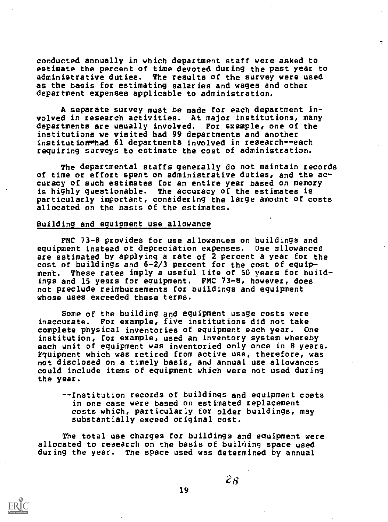conducted annually in which department staff were asked to estimate the percent of time devoted during the past year to administrative duties. The results of the survey were used as the basis for estimating salaries and wages and other department expenses applicable to administration.

A separate survey must be made for each department involved in research activities. At major institutions, many departments are usually involved. For example, one of the institutions we visited had 99 departments and another institutionwhad 61 departments involved in research--each requiring surveys to estimate the cost of administration.

The departmental staffs generally do not maintain records of time or effort spent on administrative duties, and the accuracy of such estimates for an entire year based on memory is highly questionable. The accuracy of the estimates is particularly important, considering the large amount of costs allocated on the basis of the estimates.

# Building and equipment use allowance

FMC 73-8 provides for use allowances on buildings and equipment instead of depreciation expenses. Use allowances are estimated by applying a rate of 2 percent a year for the cost of buildings and  $6-\frac{2}{3}$  percent for the cost of equipment. These rates imply a useful life of 50 years for buildings and 15 years for equipment. FMC 73-8, however, does not preclude reimbursements for buildings and equipment whose uses exceeded these terms.

Some of the building and equipment usage costs were inaccurate. For example, five institutions did not take complete physical inventories of equipment each year. One institution, for example, used an inventory system whereby each unit of equipment was inventoried only once in 8 years. Equipment which was retired from active use, therefore, was not disclosed on a timely basis, and annual use allowances could include items of equipment which were not used during the year.

--Institution records of buildings and equipment costs in one case were based on estimated replacement costs which, particularly for older buildings, may substantially exceed original cost.

The total use charges for buildings and eguipment were allocated to research on the basis of building space used during the year. The space used was determined by annual

19



 $28^{\circ}$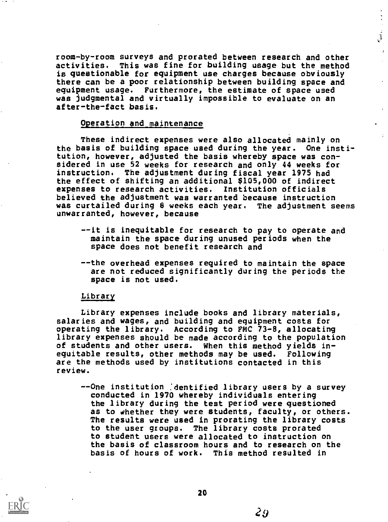room-by-room surveys and prorated between research and other activities. This was fine for building usage but the method is questionable for equipment use charges because obviously there can be a poor relationship between building space and equipment usage. Furthermore, the estimate of space used was judgmental and virtually impossible to evaluate on an after-the-fact basis.

 $\mathbf{r}$ 

#### Operation and maintenance

These indirect expenses were also allocated mainly on the basis of building space used during the year. One institution, however, adjusted the basis whereby space was considered in use 52 weeks for research and only 44 weeks for instruction. The adjustment during fiscal year 1975 had the effect of shifting an additional \$105,000 of indirect expenses to research activities. Institution officials believed the adjustment was warranted because instruction was curtailed during 8 weeks each year. The adjustment seems unwarranted, however, because

- --it is inequitable for research to pay to operate and maintain the space during unused periods when the space does not benefit research and
- --the overhead expenses required to maintain the space are not reduced significantly during the periods the space is not used.

# Library

Library expenses include books and library materials, salaries and wages, and building and equipment costs for operating the library. According to FMC 73-8, allocating library expenses should be made according to the population of students and other users. When this method yields inequitable results, other methods may be used. Following are the methods used by institutions contacted in this review.

--One institution (dentified library users by a survey conducted in 1970 whereby individuals entering the library during the test period were questioned as to whether they were students, faculty, or others. The results were used in prorating the library costs to the user groups. The library costs prorated to student users were allocated to instruction on the basis of classroom hours and to research on the basis of hours of work. This method resulted in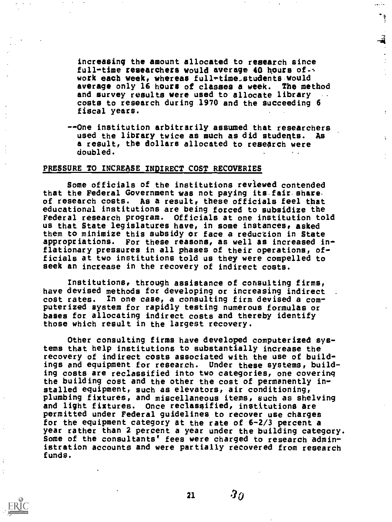increasinq the amount allocated to research since full-time researchers would average 40 hours ofwork each week, whereas full-time,students would<br>average only 16 hours of classes a week. The method average only 16 hours of classes a week. and survey results were used to allocate library costs to research during 1970 and the succeeding 6 fiscal years.

--One institution arbitrarily assumed that researchers used the library twice as much as did studeqts. As a result, the dollars allocated to research were doubled.

#### PRESSURE TO INCREASE INDIRECT COST RECOVERIES

Some officials of the institutions reviewed contended that the Federal Government was not paying its fair-shareof research costs. As a result, these officials feel that educational institutions are being forced to subsidize the Federal research program. Officials at one institution told us that State legislatures have, in some instances, asked them to minimize this subsidy or face a reduction in State appropriations. For these reasons, as well as increased inflationary pressures in all phases of their operations, officials at two institutions told us they were compelled to seek an increase in the recovery of indirect costs.

Institutions, through assistance of consulting firms, have devised methods for developing or increasing indirect cost rates. In one case, a consulting firm devised a computerized system for rapidly testing numerous formulas or bases for allocating indirect costs and thereby identify those which result in the largest recovery.

Other consulting firms have developed computerized systems that help institutions to substantially increase the recovery of indirect costs associated with the use of buildings and equipment for research. Under these systems, building costs are reclassified into two categories, one covering the building cost and the other the cost of permanently installed equipment, such as elevators, air conditioning, plumbing fixtures, and miscellaneous items, such as shelving and light fixtures. Once reclassified, institutions are permitted under Federal guidelines to recover use charges for the equipment category at the rate of 6-2/3 percent a year rather than 2 percent a year under the building category. Some of the consultants' fees were charged to research administration accounts and were partially recovered from research funds.

21

 $\bm{30}$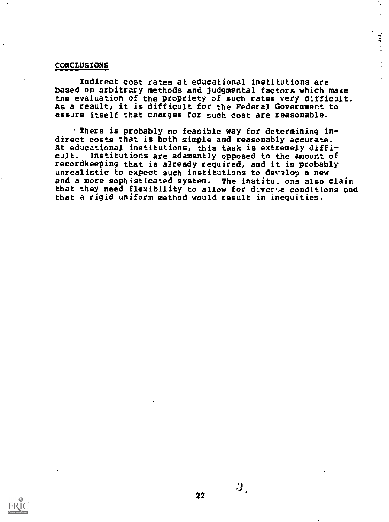#### CONCLUSIONS

Indirect cost rates at educational institutions are based on arbitrary methods and judgmental factors which make the evaluation of the propriety of such rates very difficult. As a result, it is difficult for the Federal Government to assure itself that charges for such cost are reasonable.

્યો છે.<br>વ

.There is probably no feasible way for determining indirect costs that is both simple and reasonably accurate. At educational institutions, this task is extremely difficult. Institutions are adamantly opposed to the amount of recordkeeping that is already required, and it is probably unrealistic to expect such institutions to develop a new and a more sophisticated system. The institur ons also claim that they need flexibility to allow for diverse conditions and that a rigid uniform method would result in inequities.



22

 $\bm{\beta}_2$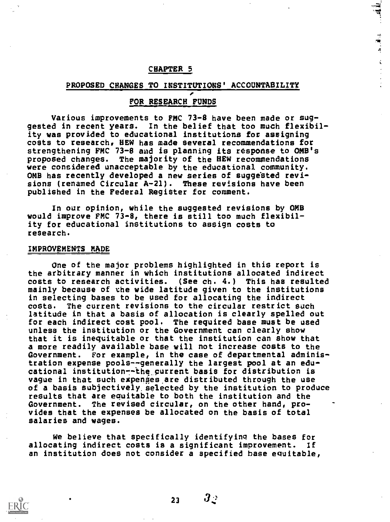#### CHAPTER 5

#### PROPOSED CHANGES TO INSTITUTIONS' ACCOUNTABILITY

 $\vec{\Delta}$ 

# FOR RESEARCH FUNDS

Various improvements to FMC 73-8 have been made or suggested in recent years. In the belief that too much flexibility was provided to educational institutions for assigning costs to research, HEW has made several recommendations for strengthening FMC 73-8 and is planning its response to OMB's proposed changes. The majority of the HEW recommendations were considered unacceptable by the educational community. OMB has recently developed a new series of suggested revisions (renamed Circular A-21). These revisions have been published in the Federal Register for comment.

In our opinion, while the suggested revisions by OMB would improve FMC 73-8, there is still too much flexibility for educational institutions to assign costs to research.

#### IMPROVEMENTS MADE

One of the major problems highlighted in this report is the arbitrary manner in which institutions allocated indirect<br>costs to research activities. (See ch. 4.) This has resulted (See ch.  $4.$ ) This has resulted mainly because of the wide latitude given to the institutions in selecting bases to be used for allocating the indirect costs. The current revisions to the circular restrict such latitude in that a basis of allocation is clearly spelled out for each indirect cost pool. The required base must be used unless the institution or the Government can clearly show that it is inequitable or that the institution can show that a more readily available base will not increase costs to the Government. For example, in the case of departmental administration expense pools--generally the largest pool at an educational institution--the current basis for distribution is vague in that such expenses are distributed through the use of a basis subjectively selected by the institution to produce results that are equitable to both the institution and the Government. The revised circular, on the other hand, provides that the expenses be allocated on the basis of total salaries and wages.

We believe that specifically identifying the bases for allocating indirect costs is a significant improvement. If an institution does not consider a specified base equitable,



23

 $\bm{3}_\mathbb{C}$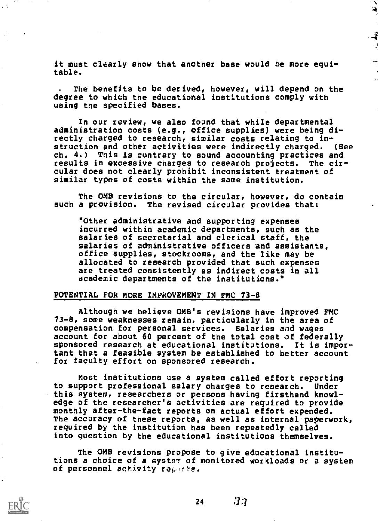it must clearly show that another base would be more equitable.

÷.

The benefits to be derived, however, will depend on the degree to which the educational institutions comply with using the specified bases.

In our review, we also found that while departmental administration costs (e.g., office supplies) were being directly charged to research, similar costs relating to instruction and other activities were indirectly charged. (See ch. 4.) This is contrary to sound accounting practices and results in excessive charges to research projects. The circular does not clearly prohibit inconsistent treatment of similar types of costs within the same institution.

The OMS revisions to the circular, however, do contain such a provision. The revised circular provides that:

'Other administrative and supporting expenses incurred within academic departments, such as the salaries of secretarial and clerical staff, the salaries of administrative officers and assistants, office supplies, stockrooms, and the like may be allocated to research provided that such expenses are treated consistently as indirect costs in all academic departments of the institutions.°

#### POTENTIAL FOR MORE IMPROVEMENT IN FMC 73-8

Although we believe OMB's revisions have improved FMC 73-8, some weaknesses remain, particularly in the area of compensation for personal services. Salaries and wages account for about 60 percent of the total cost of federally sponsored research at educational institutions. It is important that a feasible system be established to better account for faculty effort on sponsored research.

Most institutions use a system called effort reporting to support professional salary charges to research. Under this system, researchers or persons having firsthand knowledge of the researcher's activities are required to provide monthly after-the-fact reports on actual effort expended. The accuracy of these reports, as well as internal-paperwork, required by the institution has been repeatedly called into question by the educational institutions themselves.

The OMB revisions propose to give educational institutions a choice of a system of monitored workloads or a system of personnel activity ropotts.

24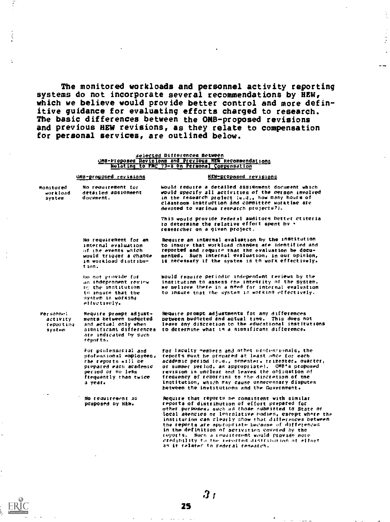The monitored workloads and personnel activity reporting systems do not incorporate several recommendations by HEW, which we believe would provide better control and more definitive guidance for evaluating efforts charged to research. The basic differences between the OHB-proposed revisions and previous HEW revisions, as they relate to compensation for personal services, are outlined below.

#### Selected Differences Between OMB-Proposed Revisions and PrevTous MEa Recommendationl <u>Welating to PMC 73-8 on Personal Compensation</u>

#### OMB-proposed revisions

document.

#### HEW-proposed revisions

it.<br>A

 $\ddot{\phantom{a}}$ 

sonItored mo reautrement for workload – detailed assignment<br>system – document. would reautre a detailed assignment document which woold specify all activities of the person Involved in the researcb protect (e.g.. how many hours of classroom instruction ind COMMittee worktime ate devoted to various research projects?).

This would provide Federal auditors better ctiteria to determine the relative effort spent by researcher on a given project,

mo requirement for an internal evaluation of the events which would trigger a change in workload distribution.

reported end require that the evaluation be documented. Such internal evaluation, to our opinion, is necessary if the system is to work effectively. Would require periodic independent reviews by the

Require an internal evaluation by the institution to insure that workload changes are identified and

an tndepennent review re; the institution to insure that the system is workIng effectively.

Require prompt adjust-. ments between budgeted and actual only when

ate indicated by Such

reports.

oo not provide for

Personnel activity reporting system

institution to assess the integrity of the system. he believe there in a need for internal evaluation to insure that the system is working effectively.

significant differences Require prompt adjustments fot any differences between budgeted and actual time. This does not leave any discretion to the educational institutions to determine what le a gionificant difference.

For professorial and professional employees, the reports .111 be prepared each academIc period or no less frequently than twice a year.

No reauirement as proposed by NEW.

For faculty members and othet orotesrionals, the reports must he prepared at least once for each academic period (e.o., semester. trimeater. ouarter, or summer period, as appropriate,. OMB's proposed revision is unclear and leaves the obligation of frequency Of reporting to the discretion of tne institution, which may cause anneceesary disputes between the institutions and the Government.

Require that reports he consistent with similar reports of distribution of effort prepared for other purposes, each cia those submitted to State nr local agencies or legrslative bodien, exrept whore the institution can clearly show that differences between the reports are appropriate because of differences in the definition nf activities covered by the reports. Suet: a reouirement would erovide mote credibility to the reported distribution of Pitort an it relater to Federal researeh.

All the continues and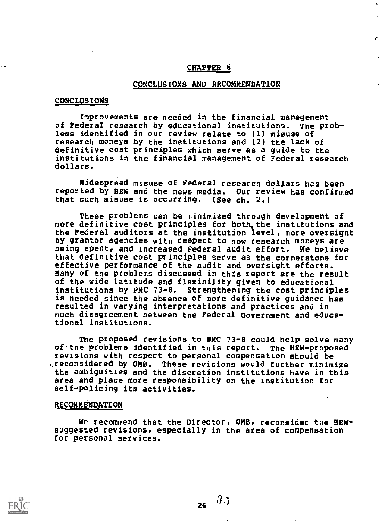# CHAPTER 6

ż,

ý.

#### CONCLUSIONS AND RECOMMENDATION

#### CONCLUSIONS

Improvements are needed in the financial management of Federal research by educational institutions. The problems identified in our review relate to (1) misuse of research moneys by the institutions and (2) the lack of definitive cost principles which serve as a guide to the institutions in the financial management of Federal research dollars.

Widespread misuse of Federal research dollars has been reported by HEW and the news media. Our review has confirmed that such misuse is occurring. (See ch. 2.)

These problems can be minimized through development of more definitive cost principles for both the institutions and the Federal auditors at the institution level, more oversight by grantor agencies with respect to how research moneys are being spent, and increased Federal audit effort. We believe that definitive cost principles serve as the cornerstone for effective performance of the audit and oversight efforts. Many of the problems discussed in this report are the result of the wide latitude and flexibility given to educational institutions by FMC 73-8. Strengthening the cost principles is needed since the absence of more definitive guidance has resulted in varying interpretations and practices and in much disagreement between the Federal Government and educational institutions..

The proposed revisions to DMC 73-8 could help solve many of.the problems identified in this report. The HEW-proposed revisions with respect to personal compensation should be %Ireconsidered by OMB. These revisions would further minimize the ambiguities and the discretion institutions have in this area and place more responsibility on the institution for self-policing its activities.

#### RECOMMENDATION

We recommend that the Director, OMB, reconsider the HEWsuggested revisions, especially in the area of compensation for personal services.

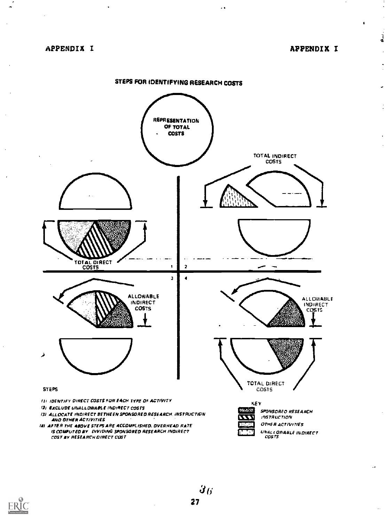$\ddot{\phantom{a}}$ 

APPENDIX I

 $\frac{1}{2}$ 

Ĭ,  $\ddot{\phantom{a}}$ 

j.



 $\ddot{\phantom{1}}$ 

**ERIC** 

 $\overline{\boldsymbol{3}_6}$ 27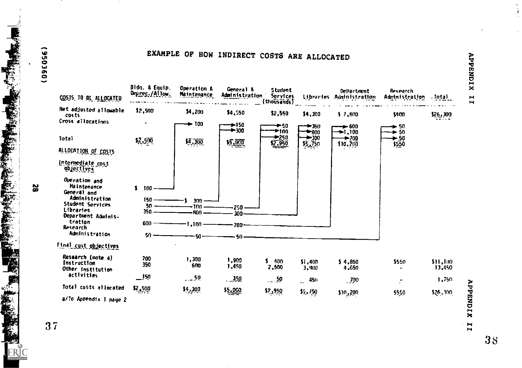

EXAMPLE OF HOW INDIRECT COSTS ARE ALLOCATED



 $\blacksquare$  $\blacksquare$ 

58

Ł

3 7

 $\blacktriangleright$ 

 $\blacksquare$